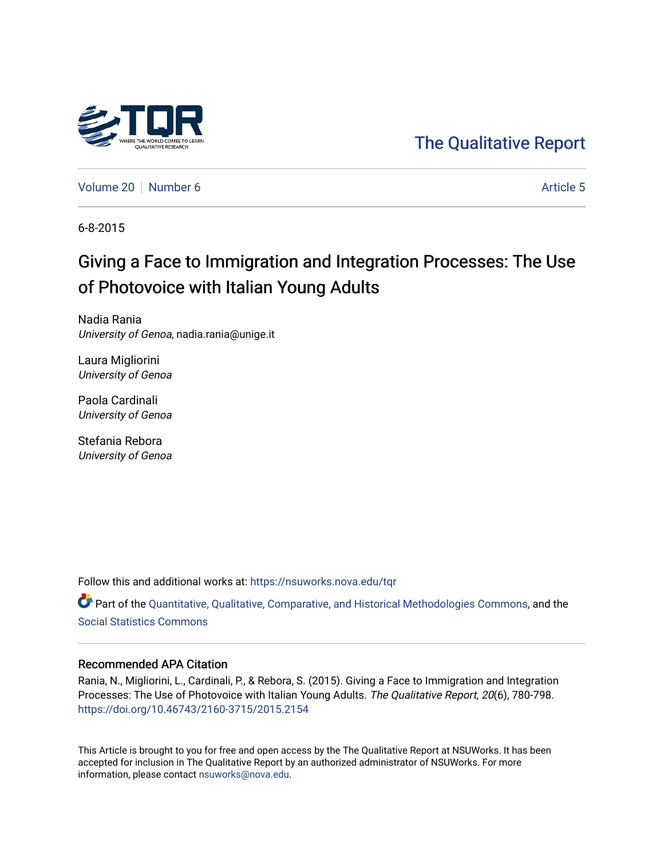

# [The Qualitative Report](https://nsuworks.nova.edu/tqr)

[Volume 20](https://nsuworks.nova.edu/tqr/vol20) [Number 6](https://nsuworks.nova.edu/tqr/vol20/iss6) [Article 5](https://nsuworks.nova.edu/tqr/vol20/iss6/5) Article 5 Article 5

6-8-2015

# Giving a Face to Immigration and Integration Processes: The Use of Photovoice with Italian Young Adults

Nadia Rania University of Genoa, nadia.rania@unige.it

Laura Migliorini University of Genoa

Paola Cardinali University of Genoa

Stefania Rebora University of Genoa

Follow this and additional works at: [https://nsuworks.nova.edu/tqr](https://nsuworks.nova.edu/tqr?utm_source=nsuworks.nova.edu%2Ftqr%2Fvol20%2Fiss6%2F5&utm_medium=PDF&utm_campaign=PDFCoverPages) 

Part of the [Quantitative, Qualitative, Comparative, and Historical Methodologies Commons,](http://network.bepress.com/hgg/discipline/423?utm_source=nsuworks.nova.edu%2Ftqr%2Fvol20%2Fiss6%2F5&utm_medium=PDF&utm_campaign=PDFCoverPages) and the [Social Statistics Commons](http://network.bepress.com/hgg/discipline/1275?utm_source=nsuworks.nova.edu%2Ftqr%2Fvol20%2Fiss6%2F5&utm_medium=PDF&utm_campaign=PDFCoverPages) 

# Recommended APA Citation

Rania, N., Migliorini, L., Cardinali, P., & Rebora, S. (2015). Giving a Face to Immigration and Integration Processes: The Use of Photovoice with Italian Young Adults. The Qualitative Report, 20(6), 780-798. <https://doi.org/10.46743/2160-3715/2015.2154>

This Article is brought to you for free and open access by the The Qualitative Report at NSUWorks. It has been accepted for inclusion in The Qualitative Report by an authorized administrator of NSUWorks. For more information, please contact [nsuworks@nova.edu.](mailto:nsuworks@nova.edu)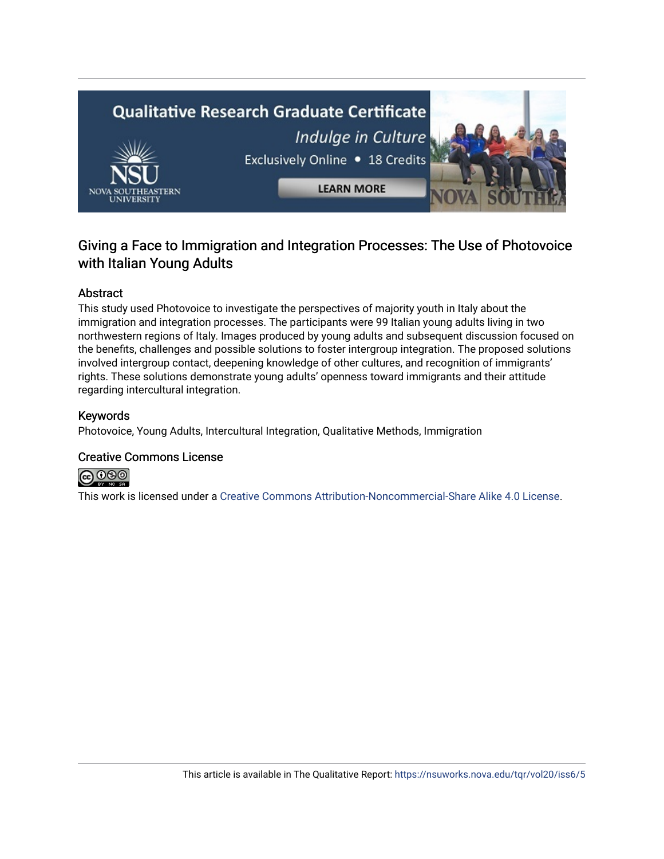

# Giving a Face to Immigration and Integration Processes: The Use of Photovoice with Italian Young Adults

# Abstract

This study used Photovoice to investigate the perspectives of majority youth in Italy about the immigration and integration processes. The participants were 99 Italian young adults living in two northwestern regions of Italy. Images produced by young adults and subsequent discussion focused on the benefits, challenges and possible solutions to foster intergroup integration. The proposed solutions involved intergroup contact, deepening knowledge of other cultures, and recognition of immigrants' rights. These solutions demonstrate young adults' openness toward immigrants and their attitude regarding intercultural integration.

### Keywords

Photovoice, Young Adults, Intercultural Integration, Qualitative Methods, Immigration

# Creative Commons License



This work is licensed under a [Creative Commons Attribution-Noncommercial-Share Alike 4.0 License](https://creativecommons.org/licenses/by-nc-sa/4.0/).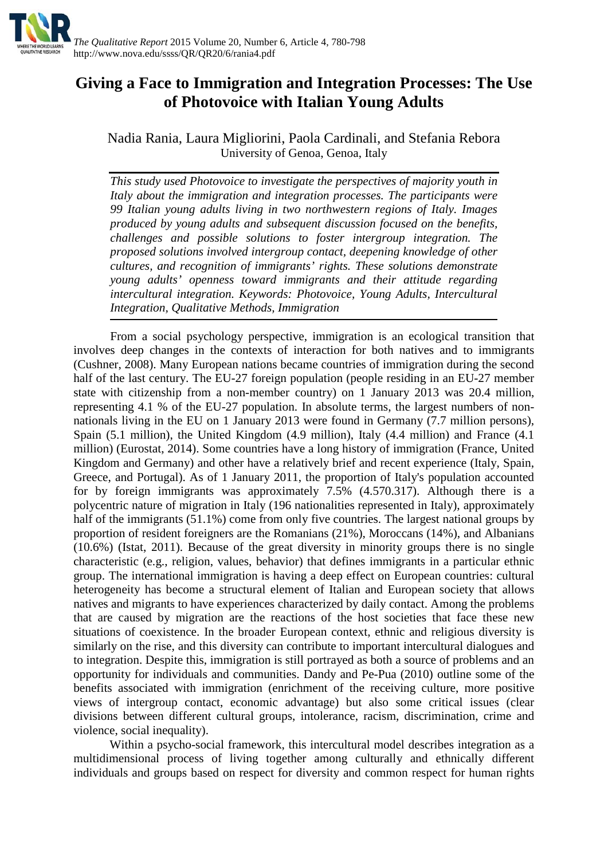

# **Giving a Face to Immigration and Integration Processes: The Use of Photovoice with Italian Young Adults**

Nadia Rania, Laura Migliorini, Paola Cardinali, and Stefania Rebora University of Genoa, Genoa, Italy

*This study used Photovoice to investigate the perspectives of majority youth in Italy about the immigration and integration processes. The participants were 99 Italian young adults living in two northwestern regions of Italy. Images produced by young adults and subsequent discussion focused on the benefits, challenges and possible solutions to foster intergroup integration. The proposed solutions involved intergroup contact, deepening knowledge of other cultures, and recognition of immigrants' rights. These solutions demonstrate young adults' openness toward immigrants and their attitude regarding intercultural integration. Keywords: Photovoice, Young Adults, Intercultural Integration, Qualitative Methods, Immigration*

From a social psychology perspective, immigration is an ecological transition that involves deep changes in the contexts of interaction for both natives and to immigrants (Cushner, 2008). Many European nations became countries of immigration during the second half of the last century. The EU-27 foreign population (people residing in an EU-27 member state with citizenship from a non-member country) on 1 January 2013 was 20.4 million, representing 4.1 % of the EU-27 population. In absolute terms, the largest numbers of nonnationals living in the EU on 1 January 2013 were found in Germany (7.7 million persons), Spain (5.1 million), the United Kingdom (4.9 million), Italy (4.4 million) and France (4.1 million) (Eurostat, 2014). Some countries have a long history of immigration (France, United Kingdom and Germany) and other have a relatively brief and recent experience (Italy, Spain, Greece, and Portugal). As of 1 January 2011, the proportion of Italy's population accounted for by foreign immigrants was approximately 7.5% (4.570.317). Although there is a polycentric nature of migration in Italy (196 nationalities represented in Italy), approximately half of the immigrants (51.1%) come from only five countries. The largest national groups by proportion of resident foreigners are the Romanians (21%), Moroccans (14%), and Albanians (10.6%) (Istat, 2011). Because of the great diversity in minority groups there is no single characteristic (e.g., religion, values, behavior) that defines immigrants in a particular ethnic group. The international immigration is having a deep effect on European countries: cultural heterogeneity has become a structural element of Italian and European society that allows natives and migrants to have experiences characterized by daily contact. Among the problems that are caused by migration are the reactions of the host societies that face these new situations of coexistence. In the broader European context, ethnic and religious diversity is similarly on the rise, and this diversity can contribute to important intercultural dialogues and to integration. Despite this, immigration is still portrayed as both a source of problems and an opportunity for individuals and communities. Dandy and Pe-Pua (2010) outline some of the benefits associated with immigration (enrichment of the receiving culture, more positive views of intergroup contact, economic advantage) but also some critical issues (clear divisions between different cultural groups, intolerance, racism, discrimination, crime and violence, social inequality).

Within a psycho-social framework, this intercultural model describes integration as a multidimensional process of living together among culturally and ethnically different individuals and groups based on respect for diversity and common respect for human rights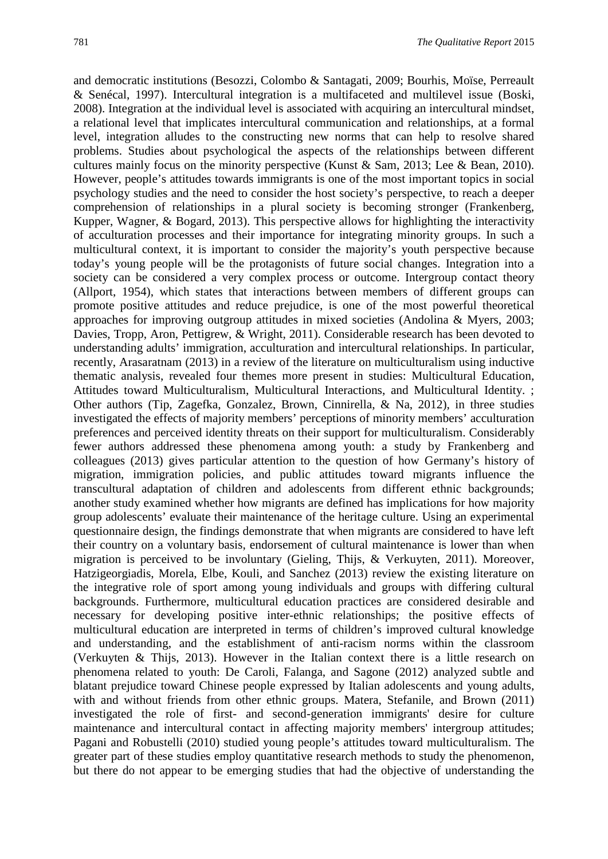and democratic institutions (Besozzi, Colombo & Santagati, 2009; Bourhis, Moïse, Perreault & Senécal, 1997). Intercultural integration is a multifaceted and multilevel issue (Boski, 2008). Integration at the individual level is associated with acquiring an intercultural mindset, a relational level that implicates intercultural communication and relationships, at a formal level, integration alludes to the constructing new norms that can help to resolve shared problems. Studies about psychological the aspects of the relationships between different cultures mainly focus on the minority perspective (Kunst & Sam, 2013; Lee & Bean, 2010). However, people's attitudes towards immigrants is one of the most important topics in social psychology studies and the need to consider the host society's perspective, to reach a deeper comprehension of relationships in a plural society is becoming stronger (Frankenberg, Kupper, Wagner, & Bogard, 2013). This perspective allows for highlighting the interactivity of acculturation processes and their importance for integrating minority groups. In such a multicultural context, it is important to consider the majority's youth perspective because today's young people will be the protagonists of future social changes. Integration into a society can be considered a very complex process or outcome. Intergroup contact theory (Allport, 1954), which states that interactions between members of different groups can promote positive attitudes and reduce prejudice, is one of the most powerful theoretical approaches for improving outgroup attitudes in mixed societies (Andolina & Myers, 2003; Davies, Tropp, Aron, Pettigrew, & Wright, 2011). Considerable research has been devoted to understanding adults' immigration, acculturation and intercultural relationships. In particular, recently, Arasaratnam (2013) in a review of the literature on multiculturalism using inductive thematic analysis, revealed four themes more present in studies: Multicultural Education, Attitudes toward Multiculturalism, Multicultural Interactions, and Multicultural Identity. ; Other authors (Tip, Zagefka, Gonzalez, Brown, Cinnirella, & Na, 2012), in three studies investigated the effects of majority members' perceptions of minority members' acculturation preferences and perceived identity threats on their support for multiculturalism. Considerably fewer authors addressed these phenomena among youth: a study by Frankenberg and colleagues (2013) gives particular attention to the question of how Germany's history of migration, immigration policies, and public attitudes toward migrants influence the transcultural adaptation of children and adolescents from different ethnic backgrounds; another study examined whether how migrants are defined has implications for how majority group adolescents' evaluate their maintenance of the heritage culture. Using an experimental questionnaire design, the findings demonstrate that when migrants are considered to have left their country on a voluntary basis, endorsement of cultural maintenance is lower than when migration is perceived to be involuntary (Gieling, Thijs, & Verkuyten, 2011). Moreover, Hatzigeorgiadis, Morela, Elbe, Kouli, and Sanchez (2013) review the existing literature on the integrative role of sport among young individuals and groups with differing cultural backgrounds. Furthermore, multicultural education practices are considered desirable and necessary for developing positive inter-ethnic relationships; the positive effects of multicultural education are interpreted in terms of children's improved cultural knowledge and understanding, and the establishment of anti-racism norms within the classroom (Verkuyten & Thijs, 2013). However in the Italian context there is a little research on phenomena related to youth: De Caroli, Falanga, and Sagone (2012) analyzed subtle and blatant prejudice toward Chinese people expressed by Italian adolescents and young adults, with and without friends from other ethnic groups. Matera, Stefanile, and Brown (2011) investigated the role of first- and second-generation immigrants' desire for culture maintenance and intercultural contact in affecting majority members' intergroup attitudes; Pagani and Robustelli (2010) studied young people's attitudes toward multiculturalism. The greater part of these studies employ quantitative research methods to study the phenomenon, but there do not appear to be emerging studies that had the objective of understanding the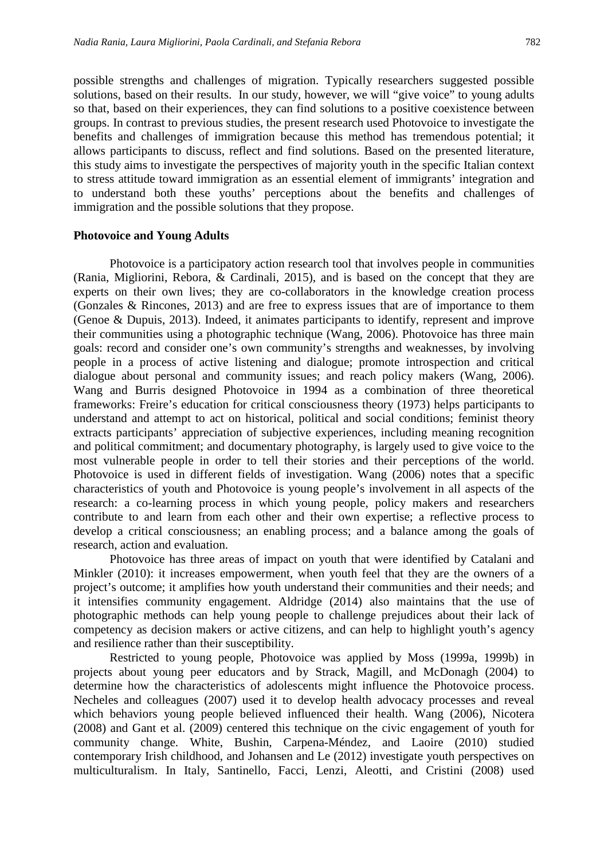possible strengths and challenges of migration. Typically researchers suggested possible solutions, based on their results. In our study, however, we will "give voice" to young adults so that, based on their experiences, they can find solutions to a positive coexistence between groups. In contrast to previous studies, the present research used Photovoice to investigate the benefits and challenges of immigration because this method has tremendous potential; it allows participants to discuss, reflect and find solutions. Based on the presented literature, this study aims to investigate the perspectives of majority youth in the specific Italian context to stress attitude toward immigration as an essential element of immigrants' integration and to understand both these youths' perceptions about the benefits and challenges of immigration and the possible solutions that they propose.

#### **Photovoice and Young Adults**

Photovoice is a participatory action research tool that involves people in communities (Rania, Migliorini, Rebora, & Cardinali, 2015), and is based on the concept that they are experts on their own lives; they are co-collaborators in the knowledge creation process (Gonzales & Rincones, 2013) and are free to express issues that are of importance to them (Genoe & Dupuis, 2013). Indeed, it animates participants to identify, represent and improve their communities using a photographic technique (Wang, 2006). Photovoice has three main goals: record and consider one's own community's strengths and weaknesses, by involving people in a process of active listening and dialogue; promote introspection and critical dialogue about personal and community issues; and reach policy makers (Wang, 2006). Wang and Burris designed Photovoice in 1994 as a combination of three theoretical frameworks: Freire's education for critical consciousness theory (1973) helps participants to understand and attempt to act on historical, political and social conditions; feminist theory extracts participants' appreciation of subjective experiences, including meaning recognition and political commitment; and documentary photography, is largely used to give voice to the most vulnerable people in order to tell their stories and their perceptions of the world. Photovoice is used in different fields of investigation. Wang (2006) notes that a specific characteristics of youth and Photovoice is young people's involvement in all aspects of the research: a co-learning process in which young people, policy makers and researchers contribute to and learn from each other and their own expertise; a reflective process to develop a critical consciousness; an enabling process; and a balance among the goals of research, action and evaluation.

Photovoice has three areas of impact on youth that were identified by Catalani and Minkler (2010): it increases empowerment, when youth feel that they are the owners of a project's outcome; it amplifies how youth understand their communities and their needs; and it intensifies community engagement. Aldridge (2014) also maintains that the use of photographic methods can help young people to challenge prejudices about their lack of competency as decision makers or active citizens, and can help to highlight youth's agency and resilience rather than their susceptibility.

Restricted to young people, Photovoice was applied by Moss (1999a, 1999b) in projects about young peer educators and by Strack, Magill, and McDonagh (2004) to determine how the characteristics of adolescents might influence the Photovoice process. Necheles and colleagues (2007) used it to develop health advocacy processes and reveal which behaviors young people believed influenced their health. Wang (2006), Nicotera (2008) and Gant et al. (2009) centered this technique on the civic engagement of youth for community change. White, Bushin, Carpena-Méndez, and Laoire (2010) studied contemporary Irish childhood, and Johansen and Le (2012) investigate youth perspectives on multiculturalism. In Italy, Santinello, Facci, Lenzi, Aleotti, and Cristini (2008) used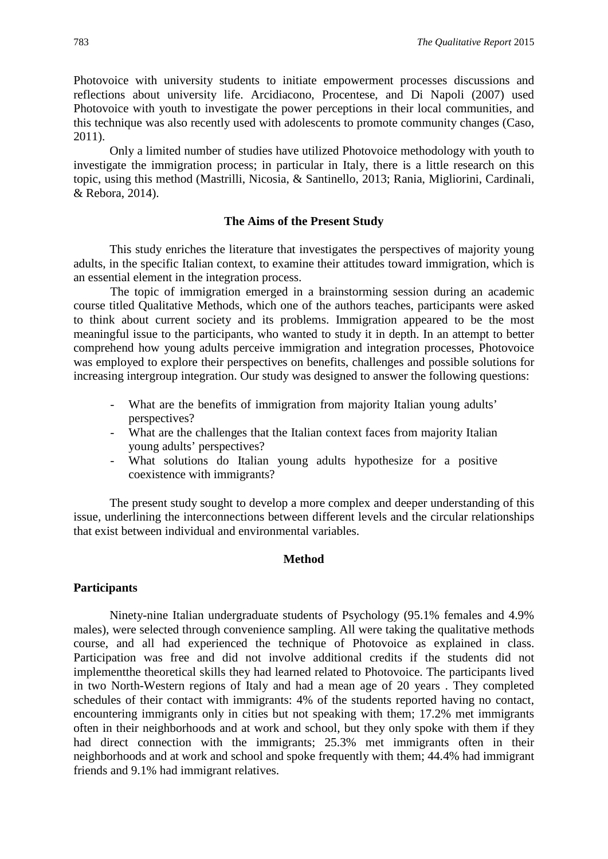Photovoice with university students to initiate empowerment processes discussions and reflections about university life. Arcidiacono, Procentese, and Di Napoli (2007) used Photovoice with youth to investigate the power perceptions in their local communities, and this technique was also recently used with adolescents to promote community changes (Caso, 2011).

Only a limited number of studies have utilized Photovoice methodology with youth to investigate the immigration process; in particular in Italy, there is a little research on this topic, using this method (Mastrilli, Nicosia, & Santinello, 2013; Rania, Migliorini, Cardinali, & Rebora, 2014).

# **The Aims of the Present Study**

This study enriches the literature that investigates the perspectives of majority young adults, in the specific Italian context, to examine their attitudes toward immigration, which is an essential element in the integration process.

The topic of immigration emerged in a brainstorming session during an academic course titled Qualitative Methods, which one of the authors teaches, participants were asked to think about current society and its problems. Immigration appeared to be the most meaningful issue to the participants, who wanted to study it in depth. In an attempt to better comprehend how young adults perceive immigration and integration processes, Photovoice was employed to explore their perspectives on benefits, challenges and possible solutions for increasing intergroup integration. Our study was designed to answer the following questions:

- What are the benefits of immigration from majority Italian young adults' perspectives?
- What are the challenges that the Italian context faces from majority Italian young adults' perspectives?
- What solutions do Italian young adults hypothesize for a positive coexistence with immigrants?

The present study sought to develop a more complex and deeper understanding of this issue, underlining the interconnections between different levels and the circular relationships that exist between individual and environmental variables.

#### **Method**

#### **Participants**

Ninety-nine Italian undergraduate students of Psychology (95.1% females and 4.9% males), were selected through convenience sampling. All were taking the qualitative methods course, and all had experienced the technique of Photovoice as explained in class. Participation was free and did not involve additional credits if the students did not implementthe theoretical skills they had learned related to Photovoice. The participants lived in two North-Western regions of Italy and had a mean age of 20 years . They completed schedules of their contact with immigrants: 4% of the students reported having no contact, encountering immigrants only in cities but not speaking with them; 17.2% met immigrants often in their neighborhoods and at work and school, but they only spoke with them if they had direct connection with the immigrants; 25.3% met immigrants often in their neighborhoods and at work and school and spoke frequently with them; 44.4% had immigrant friends and 9.1% had immigrant relatives.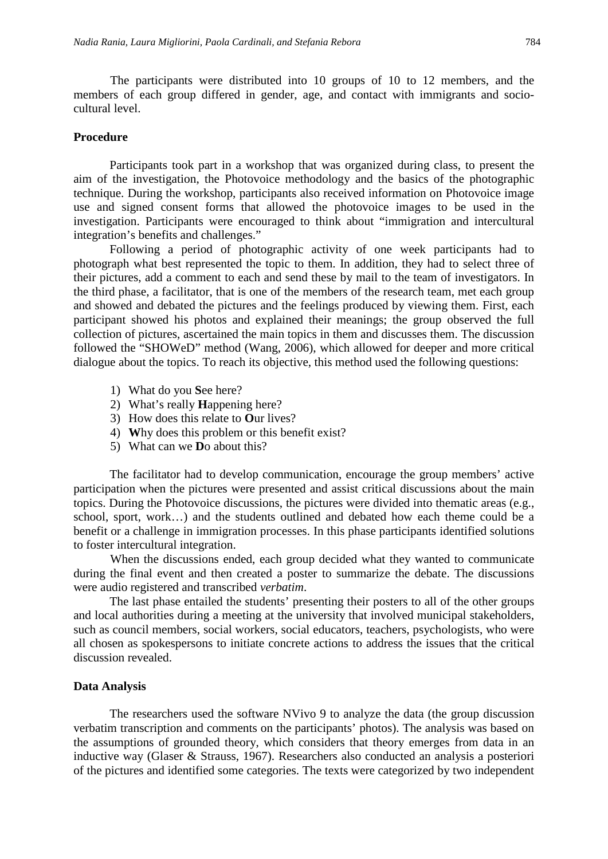The participants were distributed into 10 groups of 10 to 12 members, and the members of each group differed in gender, age, and contact with immigrants and sociocultural level.

#### **Procedure**

Participants took part in a workshop that was organized during class, to present the aim of the investigation, the Photovoice methodology and the basics of the photographic technique. During the workshop, participants also received information on Photovoice image use and signed consent forms that allowed the photovoice images to be used in the investigation. Participants were encouraged to think about "immigration and intercultural integration's benefits and challenges."

Following a period of photographic activity of one week participants had to photograph what best represented the topic to them. In addition, they had to select three of their pictures, add a comment to each and send these by mail to the team of investigators. In the third phase, a facilitator, that is one of the members of the research team, met each group and showed and debated the pictures and the feelings produced by viewing them. First, each participant showed his photos and explained their meanings; the group observed the full collection of pictures, ascertained the main topics in them and discusses them. The discussion followed the "SHOWeD" method (Wang, 2006), which allowed for deeper and more critical dialogue about the topics. To reach its objective, this method used the following questions:

- 1) What do you **S**ee here?
- 2) What's really **H**appening here?
- 3) How does this relate to **O**ur lives?
- 4) **W**hy does this problem or this benefit exist?
- 5) What can we **D**o about this?

The facilitator had to develop communication, encourage the group members' active participation when the pictures were presented and assist critical discussions about the main topics. During the Photovoice discussions, the pictures were divided into thematic areas (e.g., school, sport, work…) and the students outlined and debated how each theme could be a benefit or a challenge in immigration processes. In this phase participants identified solutions to foster intercultural integration.

When the discussions ended, each group decided what they wanted to communicate during the final event and then created a poster to summarize the debate. The discussions were audio registered and transcribed *verbatim*.

The last phase entailed the students' presenting their posters to all of the other groups and local authorities during a meeting at the university that involved municipal stakeholders, such as council members, social workers, social educators, teachers, psychologists, who were all chosen as spokespersons to initiate concrete actions to address the issues that the critical discussion revealed.

#### **Data Analysis**

The researchers used the software NVivo 9 to analyze the data (the group discussion verbatim transcription and comments on the participants' photos). The analysis was based on the assumptions of grounded theory, which considers that theory emerges from data in an inductive way (Glaser & Strauss, 1967). Researchers also conducted an analysis a posteriori of the pictures and identified some categories. The texts were categorized by two independent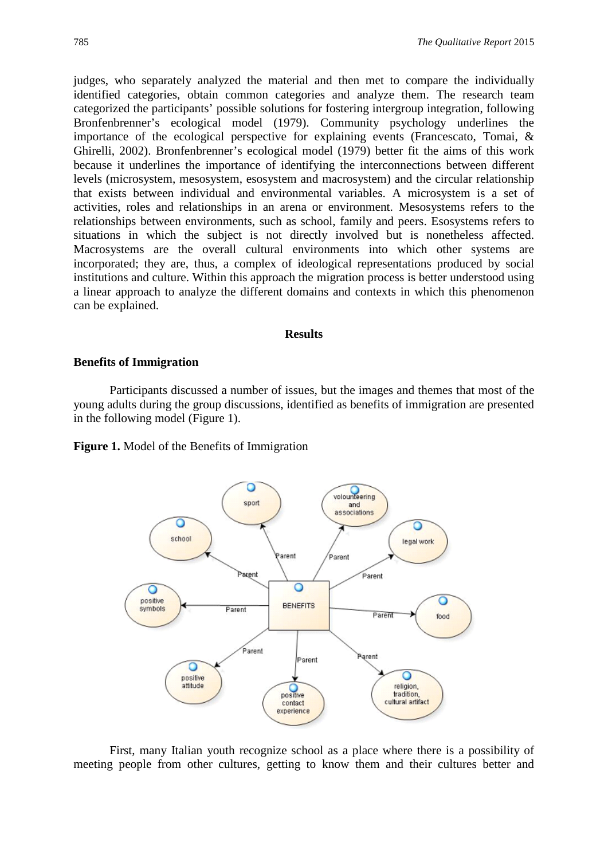judges, who separately analyzed the material and then met to compare the individually identified categories, obtain common categories and analyze them. The research team categorized the participants' possible solutions for fostering intergroup integration, following Bronfenbrenner's ecological model (1979). Community psychology underlines the importance of the ecological perspective for explaining events (Francescato, Tomai, & Ghirelli, 2002). Bronfenbrenner's ecological model (1979) better fit the aims of this work because it underlines the importance of identifying the interconnections between different levels (microsystem, mesosystem, esosystem and macrosystem) and the circular relationship that exists between individual and environmental variables. A microsystem is a set of activities, roles and relationships in an arena or environment. Mesosystems refers to the relationships between environments, such as school, family and peers. Esosystems refers to situations in which the subject is not directly involved but is nonetheless affected. Macrosystems are the overall cultural environments into which other systems are incorporated; they are, thus, a complex of ideological representations produced by social institutions and culture. Within this approach the migration process is better understood using a linear approach to analyze the different domains and contexts in which this phenomenon can be explained.

#### **Results**

#### **Benefits of Immigration**

Participants discussed a number of issues, but the images and themes that most of the young adults during the group discussions, identified as benefits of immigration are presented in the following model (Figure 1).

**Figure 1.** Model of the Benefits of Immigration



First, many Italian youth recognize school as a place where there is a possibility of meeting people from other cultures, getting to know them and their cultures better and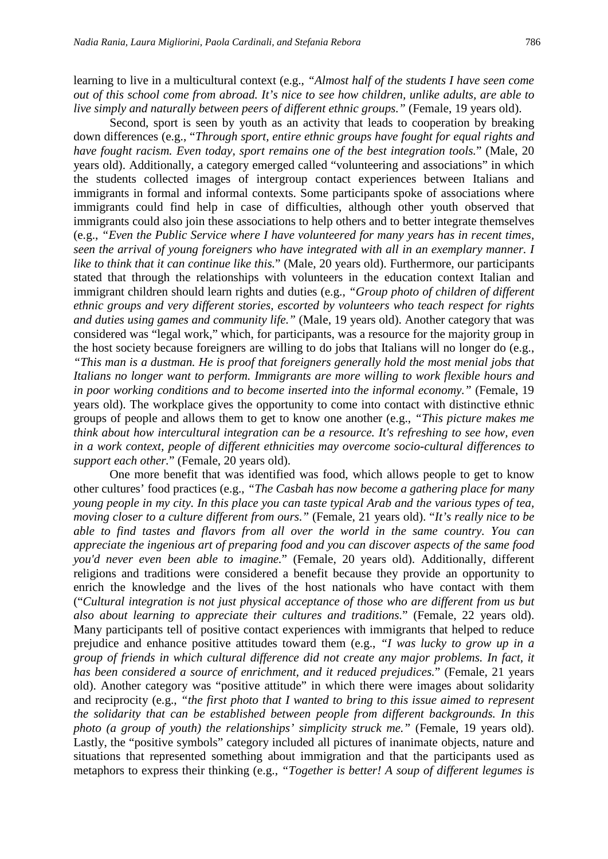learning to live in a multicultural context (e.g., *"Almost half of the students I have seen come out of this school come from abroad. It's nice to see how children, unlike adults, are able to live simply and naturally between peers of different ethnic groups."* (Female, 19 years old).

Second, sport is seen by youth as an activity that leads to cooperation by breaking down differences (e.g., "*Through sport, entire ethnic groups have fought for equal rights and have fought racism. Even today, sport remains one of the best integration tools.*" (Male, 20 years old). Additionally, a category emerged called "volunteering and associations" in which the students collected images of intergroup contact experiences between Italians and immigrants in formal and informal contexts. Some participants spoke of associations where immigrants could find help in case of difficulties, although other youth observed that immigrants could also join these associations to help others and to better integrate themselves (e.g., *"Even the Public Service where I have volunteered for many years has in recent times, seen the arrival of young foreigners who have integrated with all in an exemplary manner. I like to think that it can continue like this.*" (Male, 20 years old). Furthermore, our participants stated that through the relationships with volunteers in the education context Italian and immigrant children should learn rights and duties (e.g., *"Group photo of children of different ethnic groups and very different stories, escorted by volunteers who teach respect for rights and duties using games and community life."* (Male, 19 years old). Another category that was considered was "legal work," which, for participants, was a resource for the majority group in the host society because foreigners are willing to do jobs that Italians will no longer do (e.g., *"This man is a dustman. He is proof that foreigners generally hold the most menial jobs that Italians no longer want to perform. Immigrants are more willing to work flexible hours and in poor working conditions and to become inserted into the informal economy."* (Female, 19 years old). The workplace gives the opportunity to come into contact with distinctive ethnic groups of people and allows them to get to know one another (e.g., *"This picture makes me think about how intercultural integration can be a resource. It's refreshing to see how, even in a work context, people of different ethnicities may overcome socio-cultural differences to support each other.*" (Female, 20 years old).

One more benefit that was identified was food, which allows people to get to know other cultures' food practices (e.g., *"The Casbah has now become a gathering place for many young people in my city. In this place you can taste typical Arab and the various types of tea, moving closer to a culture different from ours."* (Female, 21 years old). "*It's really nice to be able to find tastes and flavors from all over the world in the same country. You can appreciate the ingenious art of preparing food and you can discover aspects of the same food you'd never even been able to imagine.*" (Female, 20 years old). Additionally, different religions and traditions were considered a benefit because they provide an opportunity to enrich the knowledge and the lives of the host nationals who have contact with them ("*Cultural integration is not just physical acceptance of those who are different from us but also about learning to appreciate their cultures and traditions.*" (Female, 22 years old). Many participants tell of positive contact experiences with immigrants that helped to reduce prejudice and enhance positive attitudes toward them (e.g., *"I was lucky to grow up in a group of friends in which cultural difference did not create any major problems. In fact, it has been considered a source of enrichment, and it reduced prejudices.*" (Female, 21 years old). Another category was "positive attitude" in which there were images about solidarity and reciprocity (e.g., *"the first photo that I wanted to bring to this issue aimed to represent the solidarity that can be established between people from different backgrounds. In this photo (a group of youth) the relationships' simplicity struck me."* (Female, 19 years old). Lastly, the "positive symbols" category included all pictures of inanimate objects, nature and situations that represented something about immigration and that the participants used as metaphors to express their thinking (e.g., *"Together is better! A soup of different legumes is*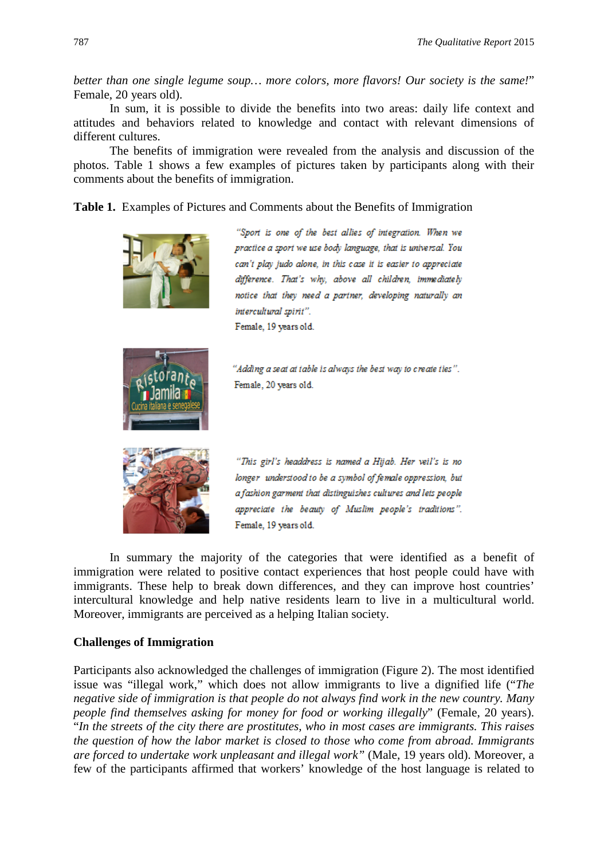*better than one single legume soup… more colors, more flavors! Our society is the same!*" Female, 20 years old).

In sum, it is possible to divide the benefits into two areas: daily life context and attitudes and behaviors related to knowledge and contact with relevant dimensions of different cultures.

The benefits of immigration were revealed from the analysis and discussion of the photos. Table 1 shows a few examples of pictures taken by participants along with their comments about the benefits of immigration.

**Table 1.** Examples of Pictures and Comments about the Benefits of Immigration



practice a sport we use body language, that is universal. You can't play judo alone, in this case it is easier to appreciate difference. That's why, above all children, immediately notice that they need a partner, developing naturally an

"Adding a seat at table is always the best way to create ties".



"This girl's headdress is named a Hijab. Her veil's is no longer understood to be a symbol of female oppression, but a fashion garment that distinguishes cultures and lets people appreciate the beauty of Muslim people's traditions". Female, 19 years old.

In summary the majority of the categories that were identified as a benefit of immigration were related to positive contact experiences that host people could have with immigrants. These help to break down differences, and they can improve host countries' intercultural knowledge and help native residents learn to live in a multicultural world. Moreover, immigrants are perceived as a helping Italian society.

# **Challenges of Immigration**

Participants also acknowledged the challenges of immigration (Figure 2). The most identified issue was "illegal work," which does not allow immigrants to live a dignified life ("*The negative side of immigration is that people do not always find work in the new country. Many people find themselves asking for money for food or working illegally*" (Female, 20 years). "*In the streets of the city there are prostitutes, who in most cases are immigrants. This raises the question of how the labor market is closed to those who come from abroad. Immigrants are forced to undertake work unpleasant and illegal work"* (Male, 19 years old). Moreover, a few of the participants affirmed that workers' knowledge of the host language is related to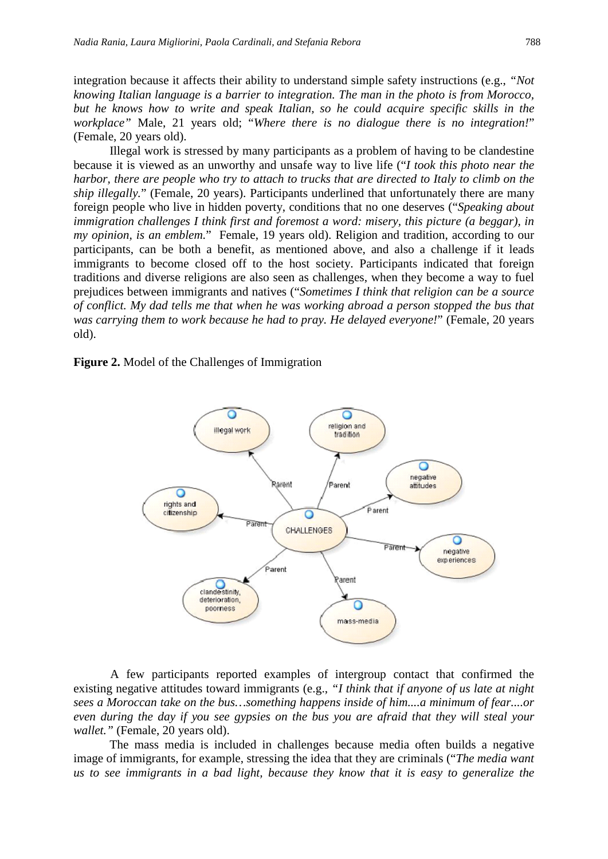integration because it affects their ability to understand simple safety instructions (e.g., *"Not knowing Italian language is a barrier to integration. The man in the photo is from Morocco, but he knows how to write and speak Italian, so he could acquire specific skills in the workplace"* Male, 21 years old; "*Where there is no dialogue there is no integration!*" (Female, 20 years old).

Illegal work is stressed by many participants as a problem of having to be clandestine because it is viewed as an unworthy and unsafe way to live life ("*I took this photo near the harbor, there are people who try to attach to trucks that are directed to Italy to climb on the ship illegally.*" (Female, 20 years). Participants underlined that unfortunately there are many foreign people who live in hidden poverty, conditions that no one deserves ("*Speaking about immigration challenges I think first and foremost a word: misery, this picture (a beggar), in my opinion, is an emblem.*" Female, 19 years old). Religion and tradition, according to our participants, can be both a benefit, as mentioned above, and also a challenge if it leads immigrants to become closed off to the host society. Participants indicated that foreign traditions and diverse religions are also seen as challenges, when they become a way to fuel prejudices between immigrants and natives ("*Sometimes I think that religion can be a source of conflict. My dad tells me that when he was working abroad a person stopped the bus that was carrying them to work because he had to pray. He delayed everyone!*" (Female, 20 years old).

**Figure 2.** Model of the Challenges of Immigration



A few participants reported examples of intergroup contact that confirmed the existing negative attitudes toward immigrants (e.g., *"I think that if anyone of us late at night sees a Moroccan take on the bus…something happens inside of him....a minimum of fear....or even during the day if you see gypsies on the bus you are afraid that they will steal your wallet."* (Female, 20 years old).

The mass media is included in challenges because media often builds a negative image of immigrants, for example, stressing the idea that they are criminals ("*The media want us to see immigrants in a bad light, because they know that it is easy to generalize the*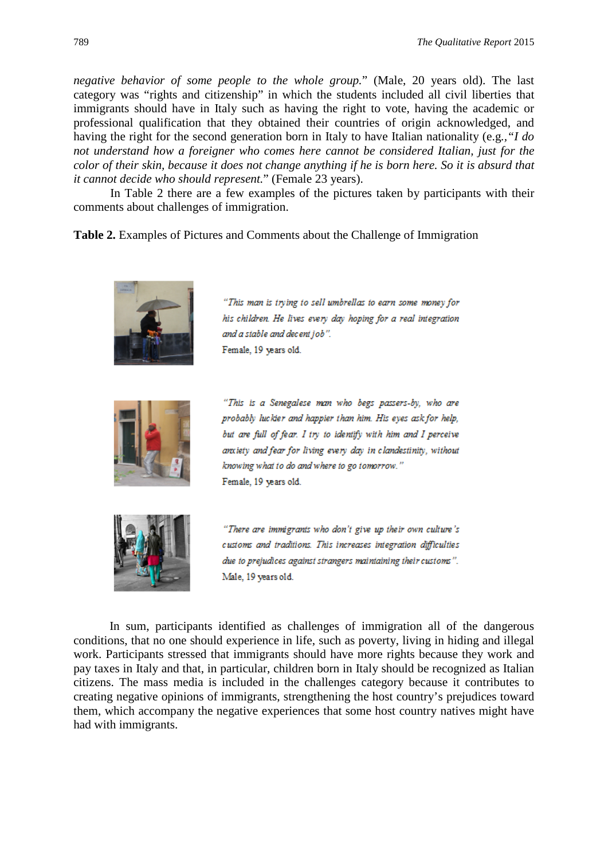*negative behavior of some people to the whole group.*" (Male, 20 years old). The last category was "rights and citizenship" in which the students included all civil liberties that immigrants should have in Italy such as having the right to vote, having the academic or professional qualification that they obtained their countries of origin acknowledged, and having the right for the second generation born in Italy to have Italian nationality (e.g*.,"I do not understand how a foreigner who comes here cannot be considered Italian, just for the color of their skin, because it does not change anything if he is born here. So it is absurd that it cannot decide who should represent.*" (Female 23 years).

In Table 2 there are a few examples of the pictures taken by participants with their comments about challenges of immigration.

**Table 2.** Examples of Pictures and Comments about the Challenge of Immigration



"This man is trying to sell umbrellas to earn some money for his children. He lives every day hoping for a real integration and a stable and decent job". Female, 19 years old.



"This is a Senegalese man who begs passers-by, who are probably luckier and happier than him. His eyes ask for help, but are full of fear. I try to identify with him and I perceive anxiety and fear for living every day in clandestinity, without knowing what to do and where to go tomorrow." Female, 19 years old.



"There are immigrants who don't give up their own culture's customs and traditions. This increases integration difficulties due to prejudices against strangers maintaining their customs". Male, 19 years old.

In sum, participants identified as challenges of immigration all of the dangerous conditions, that no one should experience in life, such as poverty, living in hiding and illegal work. Participants stressed that immigrants should have more rights because they work and pay taxes in Italy and that, in particular, children born in Italy should be recognized as Italian citizens. The mass media is included in the challenges category because it contributes to creating negative opinions of immigrants, strengthening the host country's prejudices toward them, which accompany the negative experiences that some host country natives might have had with immigrants.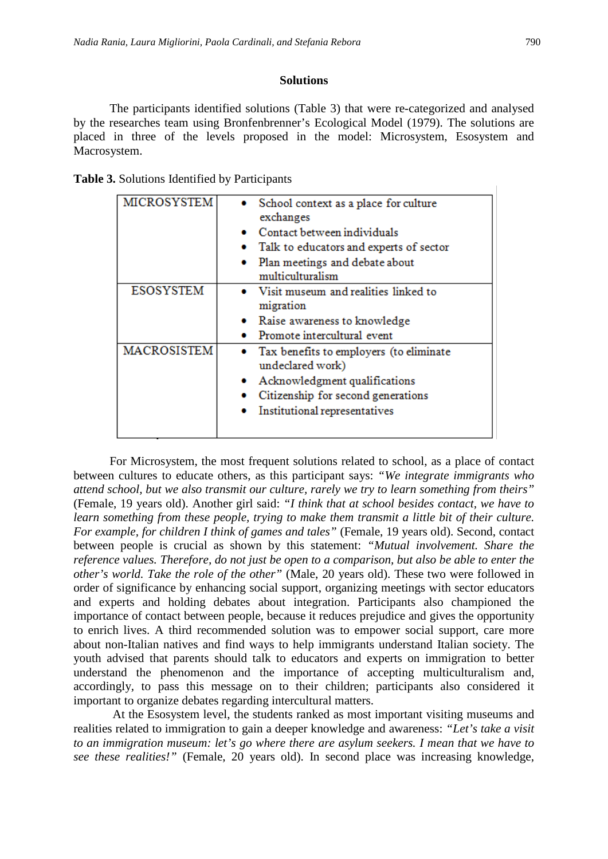#### **Solutions**

The participants identified solutions (Table 3) that were re-categorized and analysed by the researches team using Bronfenbrenner's Ecological Model (1979). The solutions are placed in three of the levels proposed in the model: Microsystem, Esosystem and Macrosystem.

| Table 3. Solutions Identified by Participants |  |  |  |
|-----------------------------------------------|--|--|--|
|-----------------------------------------------|--|--|--|

| <b>MICROSYSTEM</b> | • School context as a place for culture<br>exchanges          |
|--------------------|---------------------------------------------------------------|
|                    | $\bullet$ Contact between individuals                         |
|                    | • Talk to educators and experts of sector                     |
|                    | • Plan meetings and debate about<br>multiculturalism          |
| <b>ESOSYSTEM</b>   | • Visit museum and realities linked to<br>migration           |
|                    | • Raise awareness to knowledge                                |
|                    | Promote intercultural event                                   |
| <b>MACROSISTEM</b> | • Tax benefits to employers (to eliminate<br>undeclared work) |
|                    | • Acknowledgment qualifications                               |
|                    | Citizenship for second generations                            |
|                    | Institutional representatives                                 |
|                    |                                                               |

For Microsystem, the most frequent solutions related to school, as a place of contact between cultures to educate others, as this participant says: *"We integrate immigrants who attend school, but we also transmit our culture, rarely we try to learn something from theirs"*  (Female, 19 years old). Another girl said: *"I think that at school besides contact, we have to learn something from these people, trying to make them transmit a little bit of their culture. For example, for children I think of games and tales"* (Female, 19 years old). Second, contact between people is crucial as shown by this statement: *"Mutual involvement. Share the reference values. Therefore, do not just be open to a comparison, but also be able to enter the other's world. Take the role of the other"* (Male, 20 years old). These two were followed in order of significance by enhancing social support, organizing meetings with sector educators and experts and holding debates about integration. Participants also championed the importance of contact between people, because it reduces prejudice and gives the opportunity to enrich lives. A third recommended solution was to empower social support, care more about non-Italian natives and find ways to help immigrants understand Italian society. The youth advised that parents should talk to educators and experts on immigration to better understand the phenomenon and the importance of accepting multiculturalism and, accordingly, to pass this message on to their children; participants also considered it important to organize debates regarding intercultural matters.

At the Esosystem level, the students ranked as most important visiting museums and realities related to immigration to gain a deeper knowledge and awareness: *"Let's take a visit to an immigration museum: let's go where there are asylum seekers. I mean that we have to see these realities!"* (Female, 20 years old). In second place was increasing knowledge,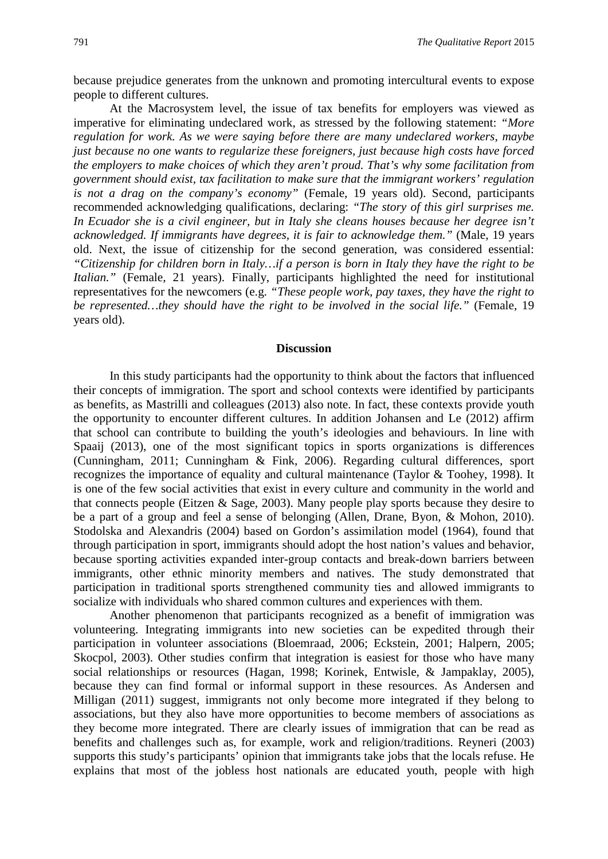because prejudice generates from the unknown and promoting intercultural events to expose people to different cultures.

At the Macrosystem level, the issue of tax benefits for employers was viewed as imperative for eliminating undeclared work, as stressed by the following statement: *"More regulation for work. As we were saying before there are many undeclared workers, maybe just because no one wants to regularize these foreigners, just because high costs have forced the employers to make choices of which they aren't proud. That's why some facilitation from government should exist, tax facilitation to make sure that the immigrant workers' regulation is not a drag on the company's economy"* (Female, 19 years old). Second, participants recommended acknowledging qualifications, declaring: *"The story of this girl surprises me. In Ecuador she is a civil engineer, but in Italy she cleans houses because her degree isn't acknowledged. If immigrants have degrees, it is fair to acknowledge them."* (Male, 19 years old. Next, the issue of citizenship for the second generation, was considered essential: *"Citizenship for children born in Italy…if a person is born in Italy they have the right to be Italian."* (Female, 21 years). Finally, participants highlighted the need for institutional representatives for the newcomers (e.g. *"These people work, pay taxes, they have the right to be represented…they should have the right to be involved in the social life."* (Female, 19 years old).

#### **Discussion**

In this study participants had the opportunity to think about the factors that influenced their concepts of immigration. The sport and school contexts were identified by participants as benefits, as Mastrilli and colleagues (2013) also note. In fact, these contexts provide youth the opportunity to encounter different cultures. In addition Johansen and Le (2012) affirm that school can contribute to building the youth's ideologies and behaviours. In line with Spaaij (2013), one of the most significant topics in sports organizations is differences (Cunningham, 2011; Cunningham & Fink, 2006). Regarding cultural differences, sport recognizes the importance of equality and cultural maintenance (Taylor & Toohey, 1998). It is one of the few social activities that exist in every culture and community in the world and that connects people (Eitzen & Sage, 2003). Many people play sports because they desire to be a part of a group and feel a sense of belonging (Allen, Drane, Byon, & Mohon, 2010). Stodolska and Alexandris (2004) based on Gordon's assimilation model (1964), found that through participation in sport, immigrants should adopt the host nation's values and behavior, because sporting activities expanded inter-group contacts and break-down barriers between immigrants, other ethnic minority members and natives. The study demonstrated that participation in traditional sports strengthened community ties and allowed immigrants to socialize with individuals who shared common cultures and experiences with them.

Another phenomenon that participants recognized as a benefit of immigration was volunteering. Integrating immigrants into new societies can be expedited through their participation in volunteer associations (Bloemraad, 2006; Eckstein, 2001; Halpern, 2005; Skocpol, 2003). Other studies confirm that integration is easiest for those who have many social relationships or resources (Hagan, 1998; Korinek, Entwisle, & Jampaklay, 2005), because they can find formal or informal support in these resources. As Andersen and Milligan (2011) suggest, immigrants not only become more integrated if they belong to associations, but they also have more opportunities to become members of associations as they become more integrated. There are clearly issues of immigration that can be read as benefits and challenges such as, for example, work and religion/traditions. Reyneri (2003) supports this study's participants' opinion that immigrants take jobs that the locals refuse. He explains that most of the jobless host nationals are educated youth, people with high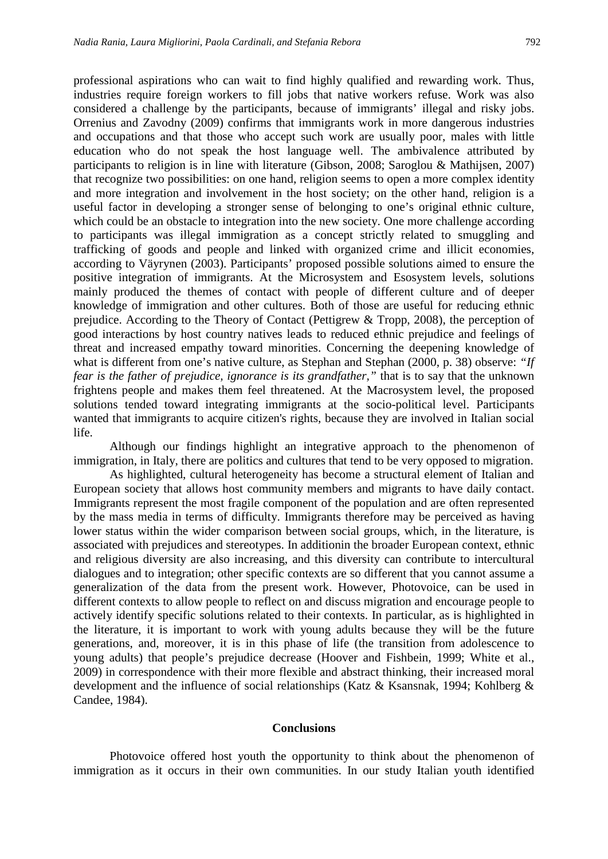professional aspirations who can wait to find highly qualified and rewarding work. Thus, industries require foreign workers to fill jobs that native workers refuse. Work was also considered a challenge by the participants, because of immigrants' illegal and risky jobs. Orrenius and Zavodny (2009) confirms that immigrants work in more dangerous industries and occupations and that those who accept such work are usually poor, males with little education who do not speak the host language well. The ambivalence attributed by participants to religion is in line with literature (Gibson, 2008; Saroglou & Mathijsen, 2007) that recognize two possibilities: on one hand, religion seems to open a more complex identity and more integration and involvement in the host society; on the other hand, religion is a useful factor in developing a stronger sense of belonging to one's original ethnic culture, which could be an obstacle to integration into the new society. One more challenge according to participants was illegal immigration as a concept strictly related to smuggling and trafficking of goods and people and linked with organized crime and illicit economies, according to Väyrynen (2003). Participants' proposed possible solutions aimed to ensure the positive integration of immigrants. At the Microsystem and Esosystem levels, solutions mainly produced the themes of contact with people of different culture and of deeper knowledge of immigration and other cultures. Both of those are useful for reducing ethnic prejudice. According to the Theory of Contact (Pettigrew & Tropp, 2008), the perception of good interactions by host country natives leads to reduced ethnic prejudice and feelings of threat and increased empathy toward minorities. Concerning the deepening knowledge of what is different from one's native culture, as Stephan and Stephan (2000, p. 38) observe: *"If fear is the father of prejudice, ignorance is its grandfather,"* that is to say that the unknown frightens people and makes them feel threatened. At the Macrosystem level, the proposed solutions tended toward integrating immigrants at the socio-political level. Participants wanted that immigrants to acquire citizen's rights, because they are involved in Italian social life.

Although our findings highlight an integrative approach to the phenomenon of immigration, in Italy, there are politics and cultures that tend to be very opposed to migration.

As highlighted, cultural heterogeneity has become a structural element of Italian and European society that allows host community members and migrants to have daily contact. Immigrants represent the most fragile component of the population and are often represented by the mass media in terms of difficulty. Immigrants therefore may be perceived as having lower status within the wider comparison between social groups, which, in the literature, is associated with prejudices and stereotypes. In additionin the broader European context, ethnic and religious diversity are also increasing, and this diversity can contribute to intercultural dialogues and to integration; other specific contexts are so different that you cannot assume a generalization of the data from the present work. However, Photovoice, can be used in different contexts to allow people to reflect on and discuss migration and encourage people to actively identify specific solutions related to their contexts. In particular, as is highlighted in the literature, it is important to work with young adults because they will be the future generations, and, moreover, it is in this phase of life (the transition from adolescence to young adults) that people's prejudice decrease (Hoover and Fishbein, 1999; White et al., 2009) in correspondence with their more flexible and abstract thinking, their increased moral development and the influence of social relationships (Katz & Ksansnak, 1994; Kohlberg & Candee, 1984).

#### **Conclusions**

Photovoice offered host youth the opportunity to think about the phenomenon of immigration as it occurs in their own communities. In our study Italian youth identified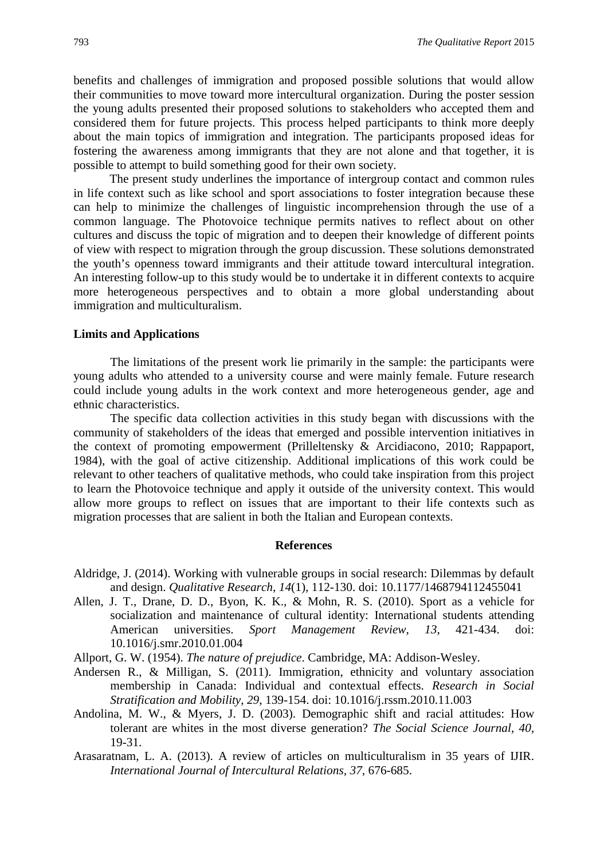benefits and challenges of immigration and proposed possible solutions that would allow their communities to move toward more intercultural organization. During the poster session the young adults presented their proposed solutions to stakeholders who accepted them and considered them for future projects. This process helped participants to think more deeply about the main topics of immigration and integration. The participants proposed ideas for fostering the awareness among immigrants that they are not alone and that together, it is possible to attempt to build something good for their own society.

The present study underlines the importance of intergroup contact and common rules in life context such as like school and sport associations to foster integration because these can help to minimize the challenges of linguistic incomprehension through the use of a common language. The Photovoice technique permits natives to reflect about on other cultures and discuss the topic of migration and to deepen their knowledge of different points of view with respect to migration through the group discussion. These solutions demonstrated the youth's openness toward immigrants and their attitude toward intercultural integration. An interesting follow-up to this study would be to undertake it in different contexts to acquire more heterogeneous perspectives and to obtain a more global understanding about immigration and multiculturalism.

#### **Limits and Applications**

The limitations of the present work lie primarily in the sample: the participants were young adults who attended to a university course and were mainly female. Future research could include young adults in the work context and more heterogeneous gender, age and ethnic characteristics.

The specific data collection activities in this study began with discussions with the community of stakeholders of the ideas that emerged and possible intervention initiatives in the context of promoting empowerment (Prilleltensky & Arcidiacono, 2010; Rappaport, 1984), with the goal of active citizenship. Additional implications of this work could be relevant to other teachers of qualitative methods, who could take inspiration from this project to learn the Photovoice technique and apply it outside of the university context. This would allow more groups to reflect on issues that are important to their life contexts such as migration processes that are salient in both the Italian and European contexts.

# **References**

- Aldridge, J. (2014). Working with vulnerable groups in social research: Dilemmas by default and design. *Qualitative Research*, *14*(1), 112-130. doi: 10.1177/1468794112455041
- Allen, J. T., Drane, D. D., Byon, K. K., & Mohn, R. S. (2010). Sport as a vehicle for socialization and maintenance of cultural identity: International students attending American universities. *Sport Management Review*, *13*, 421-434. doi: 10.1016/j.smr.2010.01.004
- Allport, G. W. (1954). *The nature of prejudice*. Cambridge, MA: Addison-Wesley.
- Andersen R., & Milligan, S. (2011). Immigration, ethnicity and voluntary association membership in Canada: Individual and contextual effects. *Research in Social Stratification and Mobility*, *29*, 139-154. doi: 10.1016/j.rssm.2010.11.003
- Andolina, M. W., & Myers, J. D. (2003). Demographic shift and racial attitudes: How tolerant are whites in the most diverse generation? *The Social Science Journal*, *40*, 19-31.
- Arasaratnam, L. A. (2013). A review of articles on multiculturalism in 35 years of IJIR. *International Journal of Intercultural Relations, 37*, 676-685.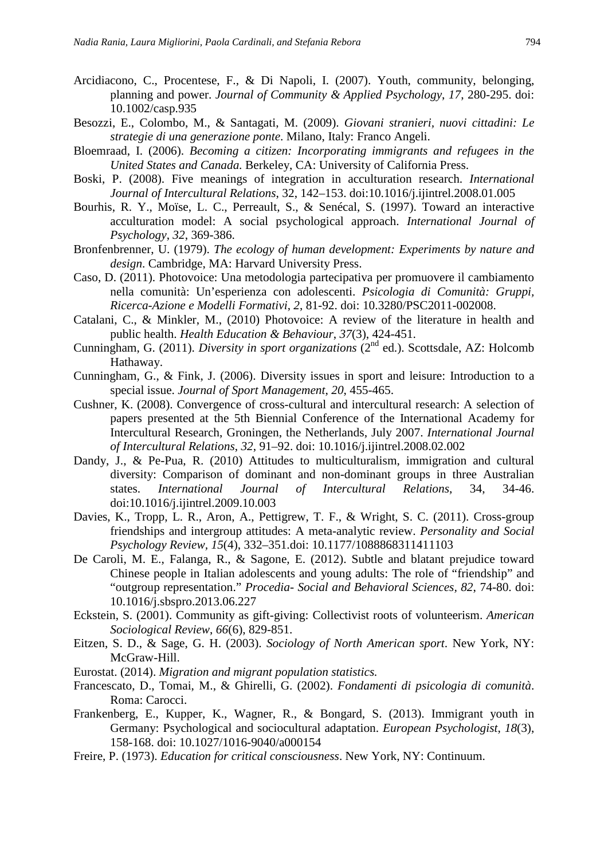- Arcidiacono, C., Procentese, F., & Di Napoli, I. (2007). Youth, community, belonging, planning and power. *Journal of Community & Applied Psychology*, *17*, 280-295. doi: 10.1002/casp.935
- Besozzi, E., Colombo, M., & Santagati, M. (2009). *Giovani stranieri, nuovi cittadini: Le strategie di una generazione ponte*. Milano, Italy: Franco Angeli.
- Bloemraad, I. (2006). *Becoming a citizen: Incorporating immigrants and refugees in the United States and Canada.* Berkeley, CA: University of California Press.
- Boski, P. (2008). Five meanings of integration in acculturation research. *International Journal of Intercultural Relations*, 32, 142–153. doi:10.1016/j.ijintrel.2008.01.005
- Bourhis, R. Y., Moïse, L. C., Perreault, S., & Senécal, S. (1997). Toward an interactive acculturation model: A social psychological approach. *International Journal of Psychology*, *32*, 369-386.
- Bronfenbrenner, U. (1979). *The ecology of human development: Experiments by nature and design*. Cambridge, MA: Harvard University Press.
- Caso, D. (2011). Photovoice: Una metodologia partecipativa per promuovere il cambiamento nella comunità: Un'esperienza con adolescenti. *Psicologia di Comunità: Gruppi, Ricerca-Azione e Modelli Formativi*, *2*, 81-92. doi: 10.3280/PSC2011-002008.
- Catalani, C., & Minkler, M., (2010) Photovoice: A review of the literature in health and public health. *Health Education & Behaviour*, *37*(3), 424-451.
- Cunningham, G. (2011). *Diversity in sport organizations* (2<sup>nd</sup> ed.). Scottsdale, AZ: Holcomb Hathaway.
- Cunningham, G., & Fink, J. (2006). Diversity issues in sport and leisure: Introduction to a special issue. *Journal of Sport Management*, *20*, 455-465.
- Cushner, K. (2008). Convergence of cross-cultural and intercultural research: A selection of papers presented at the 5th Biennial Conference of the International Academy for Intercultural Research, Groningen, the Netherlands, July 2007. *International Journal of Intercultural Relations*, *32*, 91–92. doi: 10.1016/j.ijintrel.2008.02.002
- Dandy, J., & Pe-Pua, R. (2010) Attitudes to multiculturalism, immigration and cultural diversity: Comparison of dominant and non-dominant groups in three Australian states. *International Journal of Intercultural Relations*, 34, 34-46. doi:10.1016/j.ijintrel.2009.10.003
- Davies, K., Tropp, L. R., Aron, A., Pettigrew, T. F., & Wright, S. C. (2011). Cross-group friendships and intergroup attitudes: A meta-analytic review. *Personality and Social Psychology Review, 15*(4), 332–351.doi: 10.1177/1088868311411103
- De Caroli, M. E., Falanga, R., & Sagone, E. (2012). Subtle and blatant prejudice toward Chinese people in Italian adolescents and young adults: The role of "friendship" and "outgroup representation." *Procedia- Social and Behavioral Sciences, 82*, 74-80. doi: 10.1016/j.sbspro.2013.06.227
- Eckstein, S. (2001). Community as gift-giving: Collectivist roots of volunteerism. *American Sociological Review*, *66*(6), 829-851.
- Eitzen, S. D., & Sage, G. H. (2003). *Sociology of North American sport*. New York, NY: McGraw-Hill.
- Eurostat. (2014). *Migration and migrant population statistics.*
- Francescato, D., Tomai, M., & Ghirelli, G. (2002). *Fondamenti di psicologia di comunità*. Roma: Carocci.
- Frankenberg, E., Kupper, K., Wagner, R., & Bongard, S. (2013). Immigrant youth in Germany: Psychological and sociocultural adaptation. *European Psychologist*, *18*(3), 158-168. doi: 10.1027/1016-9040/a000154
- Freire, P. (1973). *Education for critical consciousness*. New York, NY: Continuum.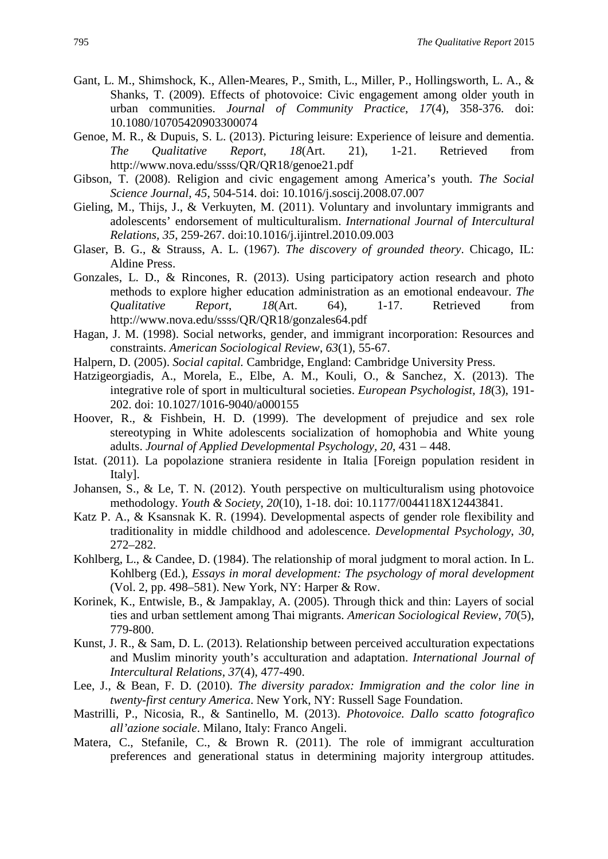- Gant, L. M., Shimshock, K., Allen-Meares, P., Smith, L., Miller, P., Hollingsworth, L. A., & Shanks, T. (2009). Effects of photovoice: Civic engagement among older youth in urban communities. *Journal of Community Practice*, *17*(4), 358-376. doi: 10.1080/10705420903300074
- Genoe, M. R., & Dupuis, S. L. (2013). Picturing leisure: Experience of leisure and dementia.<br> *The* Qualitative Report, 18(Art. 21), 1-21. Retrieved from *The Qualitative Report*, *18*(Art. 21), 1-21. Retrieved from http://www.nova.edu/ssss/QR/QR18/genoe21.pdf
- Gibson, T. (2008). Religion and civic engagement among America's youth. *The Social Science Journal, 45*, 504-514. doi: 10.1016/j.soscij.2008.07.007
- Gieling, M., Thijs, J., & Verkuyten, M. (2011). Voluntary and involuntary immigrants and adolescents' endorsement of multiculturalism. *International Journal of Intercultural Relations, 35*, 259-267. doi:10.1016/j.ijintrel.2010.09.003
- Glaser, B. G., & Strauss, A. L. (1967). *The discovery of grounded theory*. Chicago, IL: Aldine Press.
- Gonzales, L. D., & Rincones, R. (2013). Using participatory action research and photo methods to explore higher education administration as an emotional endeavour. *The Qualitative Report*, *18*(Art. 64), 1-17. Retrieved from http://www.nova.edu/ssss/QR/QR18/gonzales64.pdf
- Hagan, J. M. (1998). Social networks, gender, and immigrant incorporation: Resources and constraints. *American Sociological Review*, *63*(1), 55-67.
- Halpern, D. (2005). *Social capital.* Cambridge, England: Cambridge University Press.
- Hatzigeorgiadis, A., Morela, E., Elbe, A. M., Kouli, O., & Sanchez, X. (2013). The integrative role of sport in multicultural societies. *European Psychologist, 18*(3), 191- 202. doi: 10.1027/1016-9040/a000155
- Hoover, R., & Fishbein, H. D. (1999). The development of prejudice and sex role stereotyping in White adolescents socialization of homophobia and White young adults. *Journal of Applied Developmental Psychology, 20*, 431 – 448.
- Istat. [\(2011\)](http://www.sciencedirect.com/science/article/pii/S0147176714001436%23bib0135). La popolazione straniera residente in Italia [Foreign population resident in Italy].
- Johansen, S., & Le, T. N. (2012). Youth perspective on multiculturalism using photovoice methodology. *Youth & Society*, *20*(10), 1-18. doi: 10.1177/0044118X12443841.
- Katz P. A., & Ksansnak K. R. (1994). Developmental aspects of gender role flexibility and traditionality in middle childhood and adolescence. *Developmental Psychology*, *30*, 272–282.
- Kohlberg, L., & Candee, D. (1984). The relationship of moral judgment to moral action. In L. Kohlberg (Ed.), *Essays in moral development: The psychology of moral development* (Vol. 2, pp. 498–581). New York, NY: Harper & Row.
- Korinek, K., Entwisle, B., & Jampaklay, A. (2005). Through thick and thin: Layers of social ties and urban settlement among Thai migrants. *American Sociological Review*, *70*(5), 779-800.
- Kunst, J. R., & Sam, D. L. (2013). Relationship between perceived acculturation expectations and Muslim minority youth's acculturation and adaptation. *International Journal of Intercultural Relations*, *37*(4), 477-490.
- Lee, J., & Bean, F. D. (2010). *The diversity paradox: Immigration and the color line in twenty-first century America*. New York, NY: Russell Sage Foundation.
- Mastrilli, P., Nicosia, R., & Santinello, M. (2013). *Photovoice. Dallo scatto fotografico all'azione sociale*. Milano, Italy: Franco Angeli.
- Matera, C., Stefanile, C., & Brown R. (2011). The role of immigrant acculturation preferences and generational status in determining majority intergroup attitudes.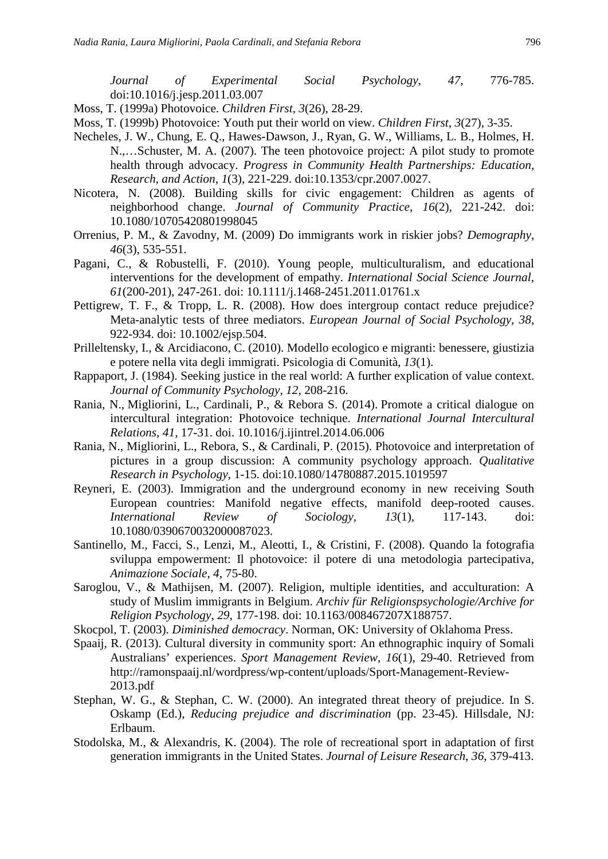*Journal of Experimental Social Psychology*, *47*, 776-785. doi:10.1016/j.jesp.2011.03.007

- Moss, T. (1999a) Photovoice. *Children First*, *3*(26), 28-29.
- Moss, T. (1999b) Photovoice: Youth put their world on view. *Children First*, *3*(27), 3-35.
- Necheles, J. W., Chung, E. Q., Hawes-Dawson, J., Ryan, G. W., Williams, L. B., Holmes, H. N.,…Schuster, M. A. (2007). The teen photovoice project: A pilot study to promote health through advocacy. *Progress in Community Health Partnerships: Education, Research, and Action*, *1*(3), 221-229. doi:10.1353/cpr.2007.0027.
- Nicotera, N. (2008). Building skills for civic engagement: Children as agents of neighborhood change. *Journal of Community Practice*, *16*(2), 221-242. doi: 10.1080/10705420801998045
- Orrenius, P. M., & Zavodny, M. (2009) Do immigrants work in riskier jobs? *Demography*, *46*(3), 535-551.
- Pagani, C., & Robustelli, F. (2010). Young people, multiculturalism, and educational interventions for the development of empathy. *International Social Science Journal*, *61*(200-201), 247-261. doi: 10.1111/j.1468-2451.2011.01761.x
- Pettigrew, T. F., & Tropp, L. R. (2008). How does intergroup contact reduce prejudice? Meta-analytic tests of three mediators. *European Journal of Social Psychology*, *38*, 922-934. doi: 10.1002/ejsp.504.
- Prilleltensky, I., & Arcidiacono, C. (2010). Modello ecologico e migranti: benessere, giustizia e potere nella vita degli immigrati. Psicologia di Comunità, *13*(1).
- Rappaport, J. (1984). Seeking justice in the real world: A further explication of value context. *Journal of Community Psychology*, *12*, 208-216.
- Rania, N., Migliorini, L., Cardinali, P., & Rebora S. (2014). Promote a critical dialogue on intercultural integration: Photovoice technique. *International Journal Intercultural Relations*, *41*, 17-31. doi. 10.1016/j.ijintrel.2014.06.006
- Rania, N., Migliorini, L., Rebora, S., & Cardinali, P. (2015). Photovoice and interpretation of pictures in a group discussion: A community psychology approach. *Qualitative Research in Psychology*, 1-15. doi:10.1080/14780887.2015.1019597
- Reyneri, E. (2003). Immigration and the underground economy in new receiving South European countries: Manifold negative effects, manifold deep-rooted causes. *International Review of Sociology*, *13*(1), 117-143. doi: 10.1080/0390670032000087023.
- Santinello, M., Facci, S., Lenzi, M., Aleotti, I., & Cristini, F. (2008). Quando la fotografia sviluppa empowerment: Il photovoice: il potere di una metodologia partecipativa, *Animazione Sociale*, *4*, 75-80.
- Saroglou, V., & Mathijsen, M. (2007). Religion, multiple identities, and acculturation: A study of Muslim immigrants in Belgium. *Archiv für Religionspsychologie/Archive for Religion Psychology*, *29*, 177-198. doi: 10.1163/008467207X188757.
- Skocpol, T. (2003). *Diminished democracy*. Norman, OK: University of Oklahoma Press.
- Spaaij, R. (2013). Cultural diversity in community sport: An ethnographic inquiry of Somali Australians' experiences. *Sport Management Review*, *16*(1), 29-40. Retrieved from http://ramonspaaij.nl/wordpress/wp-content/uploads/Sport-Management-Review-2013.pdf
- Stephan, W. G., & Stephan, C. W. (2000). An integrated threat theory of prejudice. In S. Oskamp (Ed.), *Reducing prejudice and discrimination* (pp. 23-45). Hillsdale, NJ: Erlbaum.
- Stodolska, M., & Alexandris, K. (2004). The role of recreational sport in adaptation of first generation immigrants in the United States. *Journal of Leisure Research*, *36*, 379-413.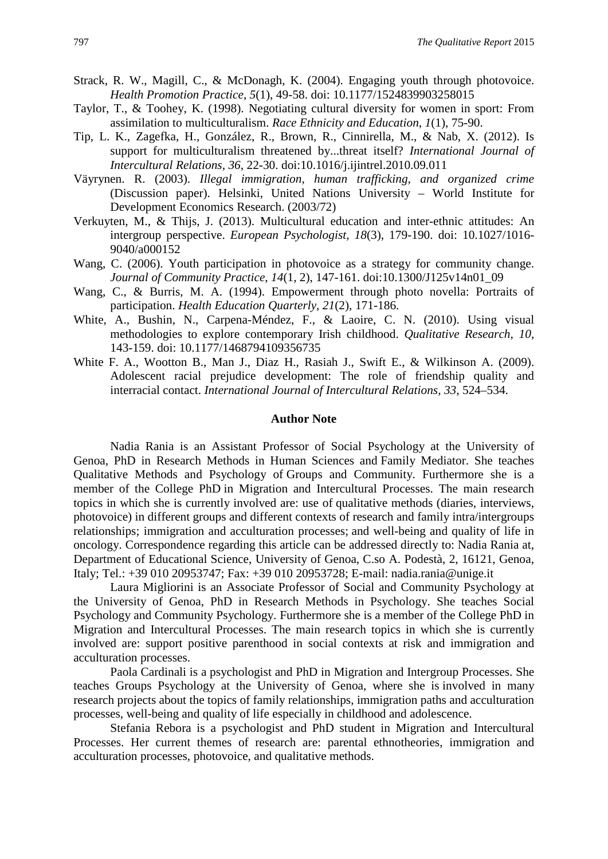- Strack, R. W., Magill, C., & McDonagh, K. (2004). Engaging youth through photovoice. *Health Promotion Practice*, *5*(1), 49-58. doi: 10.1177/1524839903258015
- Taylor, T., & Toohey, K. (1998). Negotiating cultural diversity for women in sport: From assimilation to multiculturalism. *Race Ethnicity and Education*, *1*(1), 75-90.
- Tip, L. K., Zagefka, H., González, R., Brown, R., Cinnirella, M., & Nab, X. (2012). Is support for multiculturalism threatened by...threat itself? *International Journal of Intercultural Relations, 36*, 22-30. doi:10.1016/j.ijintrel.2010.09.011
- Väyrynen. R. (2003). *Illegal immigration, human trafficking, and organized crime* (Discussion paper). Helsinki, United Nations University – World Institute for Development Economics Research. (2003/72)
- Verkuyten, M., & Thijs, J. (2013). Multicultural education and inter-ethnic attitudes: An intergroup perspective. *European Psychologist, 18*(3), 179-190. doi: 10.1027/1016- 9040/a000152
- Wang, C. (2006). Youth participation in photovoice as a strategy for community change. *Journal of Community Practice*, *14*(1, 2), 147-161. doi:10.1300/J125v14n01\_09
- Wang, C., & Burris, M. A. (1994). Empowerment through photo novella: Portraits of participation. *Health Education Quarterly*, *21*(2), 171-186.
- White, A., Bushin, N., Carpena-Méndez, F., & Laoire, C. N. (2010). Using visual methodologies to explore contemporary Irish childhood. *Qualitative Research*, *10*, 143-159. doi: 10.1177/1468794109356735
- White F. A., Wootton B., Man J., Diaz H., Rasiah J., Swift E., & Wilkinson A. (2009). Adolescent racial prejudice development: The role of friendship quality and interracial contact. *International Journal of Intercultural Relations, 33*, 524–534.

#### **Author Note**

Nadia Rania is an Assistant Professor of Social Psychology at the University of Genoa, PhD in Research Methods in Human Sciences and Family Mediator. She teaches Qualitative Methods and Psychology of Groups and Community. Furthermore she is a member of the College PhD in Migration and Intercultural Processes. The main research topics in which she is currently involved are: use of qualitative methods (diaries, interviews, photovoice) in different groups and different contexts of research and family intra/intergroups relationships; immigration and acculturation processes; and well-being and quality of life in oncology. Correspondence regarding this article can be addressed directly to: Nadia Rania at, Department of Educational Science, University of Genoa, C.so A. Podestà, 2, 16121, Genoa, Italy; Tel.: +39 010 20953747; Fax: +39 010 20953728; E-mail: nadia.rania@unige.it

Laura Migliorini is an Associate Professor of Social and Community Psychology at the University of Genoa, PhD in Research Methods in Psychology. She teaches Social Psychology and Community Psychology. Furthermore she is a member of the College PhD in Migration and Intercultural Processes. The main research topics in which she is currently involved are: support positive parenthood in social contexts at risk and immigration and acculturation processes.

Paola Cardinali is a psychologist and PhD in Migration and Intergroup Processes. She teaches Groups Psychology at the University of Genoa, where she is involved in many research projects about the topics of family relationships, immigration paths and acculturation processes, well-being and quality of life especially in childhood and adolescence.

Stefania Rebora is a psychologist and PhD student in Migration and Intercultural Processes. Her current themes of research are: parental ethnotheories, immigration and acculturation processes, photovoice, and qualitative methods.